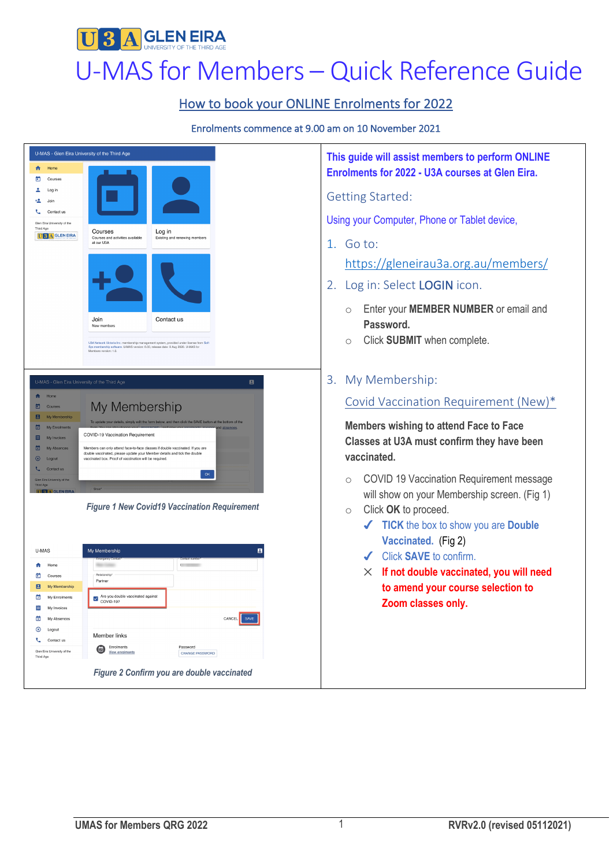

## How to book your ONLINE Enrolments for 2022

#### Enrolments commence at 9.00 am on 10 November 2021



**This guide will assist members to perform ONLINE Enrolments for 2022 - U3A courses at Glen Eira.**

Using your Computer, Phone or Tablet device,

https://gleneirau3a.org.au/members/

- 2. Log in: Select LOGIN icon.
	- o Enter your **MEMBER NUMBER** or email and
	- o Click **SUBMIT** when complete.
- 

### Covid Vaccination Requirement (New)\*

**Members wishing to attend Face to Face Classes at U3A must confirm they have been** 

- o COVID 19 Vaccination Requirement message will show on your Membership screen. (Fig 1)
- o Click **OK** to proceed.
	- ! **TICK** the box to show you are **Double Vaccinated.** (Fig 2)
	- ! Click **SAVE** to confirm.
	- $\times$  If not double vaccinated, you will need **to amend your course selection to Zoom classes only.**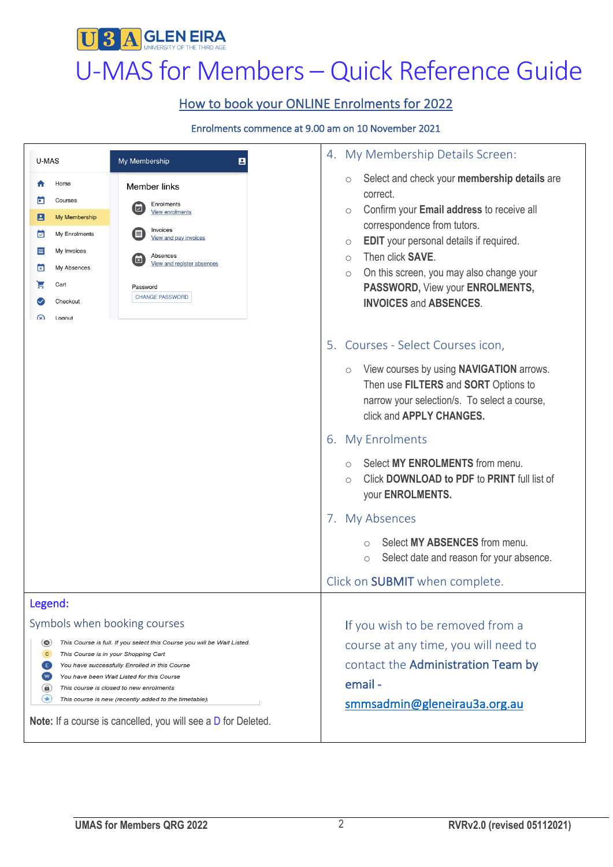

# UBA GLENEIRA<br>U-MAS for Members – Quick Reference Guide

# How to book your ONLINE Enrolments for 2022

#### Enrolments commence at 9.00 am on 10 November 2021

| U-MAS                                                                                                                                                                                                                                                                                                                                                                                                                                                                                    | My Membership<br>B                                                                                                                                                                 | 4. My Membership Details Screen:                                                                                                                                                                                                                                                                                                                                                                                                                                                                                                                  |
|------------------------------------------------------------------------------------------------------------------------------------------------------------------------------------------------------------------------------------------------------------------------------------------------------------------------------------------------------------------------------------------------------------------------------------------------------------------------------------------|------------------------------------------------------------------------------------------------------------------------------------------------------------------------------------|---------------------------------------------------------------------------------------------------------------------------------------------------------------------------------------------------------------------------------------------------------------------------------------------------------------------------------------------------------------------------------------------------------------------------------------------------------------------------------------------------------------------------------------------------|
| Home<br>Courses<br>n<br>$\vert$ 2 $\vert$<br>My Membership<br>⊡<br>My Enrolments<br>ᇀ<br>My Invoices<br>My Absences<br>⊠<br>Н<br>Cart<br>Checkout<br>⋒<br>Logout                                                                                                                                                                                                                                                                                                                         | Member links<br>Enrolments<br>回<br>View enrolments<br>Invoices<br>l≡<br>View and pay invoices<br>Absences<br>×<br>View and register absences<br>Password<br><b>CHANGE PASSWORD</b> | Select and check your membership details are<br>$\circlearrowright$<br>correct.<br>Confirm your Email address to receive all<br>$\circ$<br>correspondence from tutors.<br>EDIT your personal details if required.<br>$\circ$<br>Then click <b>SAVE</b> .<br>$\bigcirc$<br>On this screen, you may also change your<br>$\circ$<br>PASSWORD, View your ENROLMENTS,<br><b>INVOICES and ABSENCES.</b>                                                                                                                                                 |
|                                                                                                                                                                                                                                                                                                                                                                                                                                                                                          |                                                                                                                                                                                    | 5. Courses - Select Courses icon,<br>View courses by using NAVIGATION arrows.<br>$\circlearrowright$<br>Then use FILTERS and SORT Options to<br>narrow your selection/s. To select a course,<br>click and APPLY CHANGES.<br><b>My Enrolments</b><br>6.<br>Select MY ENROLMENTS from menu.<br>$\bigcap$<br>Click DOWNLOAD to PDF to PRINT full list of<br>$\bigcirc$<br>your ENROLMENTS.<br>7. My Absences<br>Select MY ABSENCES from menu.<br>$\bigcirc$<br>Select date and reason for your absence.<br>$\circ$<br>Click on SUBMIT when complete. |
| Legend:<br>Symbols when booking courses<br>This Course is full. If you select this Course you will be Wait Listed.<br>$\circledast$<br>с<br>This Course is in your Shopping Cart<br>You have successfully Enrolled in this Course<br>E<br>W.<br>You have been Wait Listed for this Course<br>(A)<br>This course is closed to new enrolments<br>$(\star)$<br>This course is new (recently added to the timetable)<br><b>Note:</b> If a course is cancelled, you will see a D for Deleted. |                                                                                                                                                                                    | If you wish to be removed from a<br>course at any time, you will need to<br>contact the Administration Team by<br>email-<br>smmsadmin@gleneirau3a.org.au                                                                                                                                                                                                                                                                                                                                                                                          |